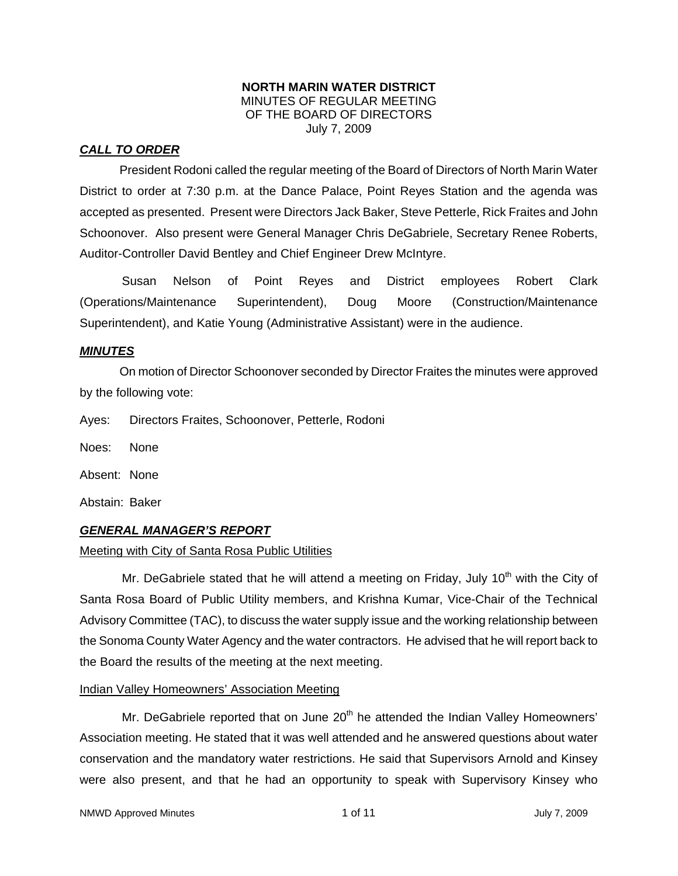### **NORTH MARIN WATER DISTRICT**  MINUTES OF REGULAR MEETING OF THE BOARD OF DIRECTORS July 7, 2009

## *CALL TO ORDER*

President Rodoni called the regular meeting of the Board of Directors of North Marin Water District to order at 7:30 p.m. at the Dance Palace, Point Reyes Station and the agenda was accepted as presented. Present were Directors Jack Baker, Steve Petterle, Rick Fraites and John Schoonover. Also present were General Manager Chris DeGabriele, Secretary Renee Roberts, Auditor-Controller David Bentley and Chief Engineer Drew McIntyre.

Susan Nelson of Point Reyes and District employees Robert Clark (Operations/Maintenance Superintendent), Doug Moore (Construction/Maintenance Superintendent), and Katie Young (Administrative Assistant) were in the audience.

## *MINUTES*

 On motion of Director Schoonover seconded by Director Fraites the minutes were approved by the following vote:

Ayes: Directors Fraites, Schoonover, Petterle, Rodoni

Noes: None

Absent: None

Abstain: Baker

## *GENERAL MANAGER'S REPORT*

### Meeting with City of Santa Rosa Public Utilities

Mr. DeGabriele stated that he will attend a meeting on Friday, July 10<sup>th</sup> with the City of Santa Rosa Board of Public Utility members, and Krishna Kumar, Vice-Chair of the Technical Advisory Committee (TAC), to discuss the water supply issue and the working relationship between the Sonoma County Water Agency and the water contractors. He advised that he will report back to the Board the results of the meeting at the next meeting.

### Indian Valley Homeowners' Association Meeting

Mr. DeGabriele reported that on June  $20<sup>th</sup>$  he attended the Indian Valley Homeowners' Association meeting. He stated that it was well attended and he answered questions about water conservation and the mandatory water restrictions. He said that Supervisors Arnold and Kinsey were also present, and that he had an opportunity to speak with Supervisory Kinsey who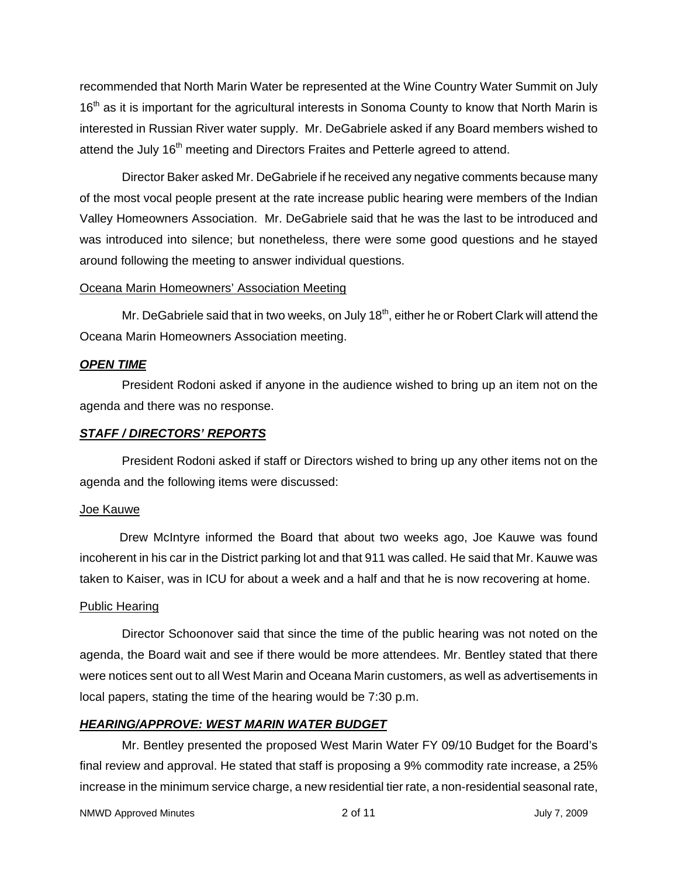recommended that North Marin Water be represented at the Wine Country Water Summit on July 16<sup>th</sup> as it is important for the agricultural interests in Sonoma County to know that North Marin is interested in Russian River water supply. Mr. DeGabriele asked if any Board members wished to attend the July  $16<sup>th</sup>$  meeting and Directors Fraites and Petterle agreed to attend.

Director Baker asked Mr. DeGabriele if he received any negative comments because many of the most vocal people present at the rate increase public hearing were members of the Indian Valley Homeowners Association. Mr. DeGabriele said that he was the last to be introduced and was introduced into silence; but nonetheless, there were some good questions and he stayed around following the meeting to answer individual questions.

### Oceana Marin Homeowners' Association Meeting

Mr. DeGabriele said that in two weeks, on July 18<sup>th</sup>, either he or Robert Clark will attend the Oceana Marin Homeowners Association meeting.

### *OPEN TIME*

President Rodoni asked if anyone in the audience wished to bring up an item not on the agenda and there was no response.

### *STAFF / DIRECTORS' REPORTS*

President Rodoni asked if staff or Directors wished to bring up any other items not on the agenda and the following items were discussed:

### Joe Kauwe

 Drew McIntyre informed the Board that about two weeks ago, Joe Kauwe was found incoherent in his car in the District parking lot and that 911 was called. He said that Mr. Kauwe was taken to Kaiser, was in ICU for about a week and a half and that he is now recovering at home.

## Public Hearing

Director Schoonover said that since the time of the public hearing was not noted on the agenda, the Board wait and see if there would be more attendees. Mr. Bentley stated that there were notices sent out to all West Marin and Oceana Marin customers, as well as advertisements in local papers, stating the time of the hearing would be 7:30 p.m.

## *HEARING/APPROVE: WEST MARIN WATER BUDGET*

Mr. Bentley presented the proposed West Marin Water FY 09/10 Budget for the Board's final review and approval. He stated that staff is proposing a 9% commodity rate increase, a 25% increase in the minimum service charge, a new residential tier rate, a non-residential seasonal rate,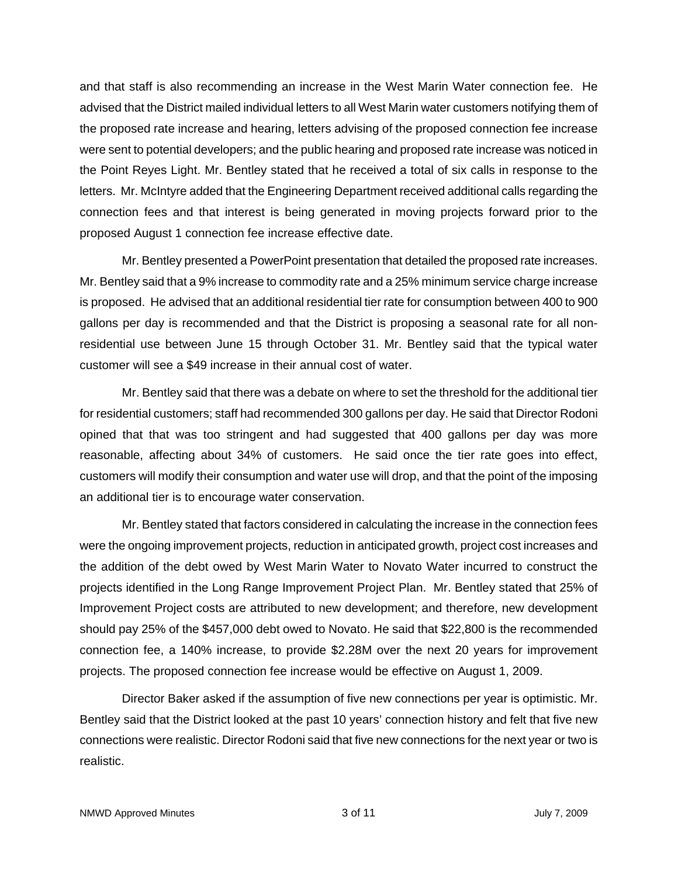and that staff is also recommending an increase in the West Marin Water connection fee. He advised that the District mailed individual letters to all West Marin water customers notifying them of the proposed rate increase and hearing, letters advising of the proposed connection fee increase were sent to potential developers; and the public hearing and proposed rate increase was noticed in the Point Reyes Light. Mr. Bentley stated that he received a total of six calls in response to the letters. Mr. McIntyre added that the Engineering Department received additional calls regarding the connection fees and that interest is being generated in moving projects forward prior to the proposed August 1 connection fee increase effective date.

Mr. Bentley presented a PowerPoint presentation that detailed the proposed rate increases. Mr. Bentley said that a 9% increase to commodity rate and a 25% minimum service charge increase is proposed. He advised that an additional residential tier rate for consumption between 400 to 900 gallons per day is recommended and that the District is proposing a seasonal rate for all nonresidential use between June 15 through October 31. Mr. Bentley said that the typical water customer will see a \$49 increase in their annual cost of water.

Mr. Bentley said that there was a debate on where to set the threshold for the additional tier for residential customers; staff had recommended 300 gallons per day. He said that Director Rodoni opined that that was too stringent and had suggested that 400 gallons per day was more reasonable, affecting about 34% of customers. He said once the tier rate goes into effect, customers will modify their consumption and water use will drop, and that the point of the imposing an additional tier is to encourage water conservation.

Mr. Bentley stated that factors considered in calculating the increase in the connection fees were the ongoing improvement projects, reduction in anticipated growth, project cost increases and the addition of the debt owed by West Marin Water to Novato Water incurred to construct the projects identified in the Long Range Improvement Project Plan. Mr. Bentley stated that 25% of Improvement Project costs are attributed to new development; and therefore, new development should pay 25% of the \$457,000 debt owed to Novato. He said that \$22,800 is the recommended connection fee, a 140% increase, to provide \$2.28M over the next 20 years for improvement projects. The proposed connection fee increase would be effective on August 1, 2009.

Director Baker asked if the assumption of five new connections per year is optimistic. Mr. Bentley said that the District looked at the past 10 years' connection history and felt that five new connections were realistic. Director Rodoni said that five new connections for the next year or two is realistic.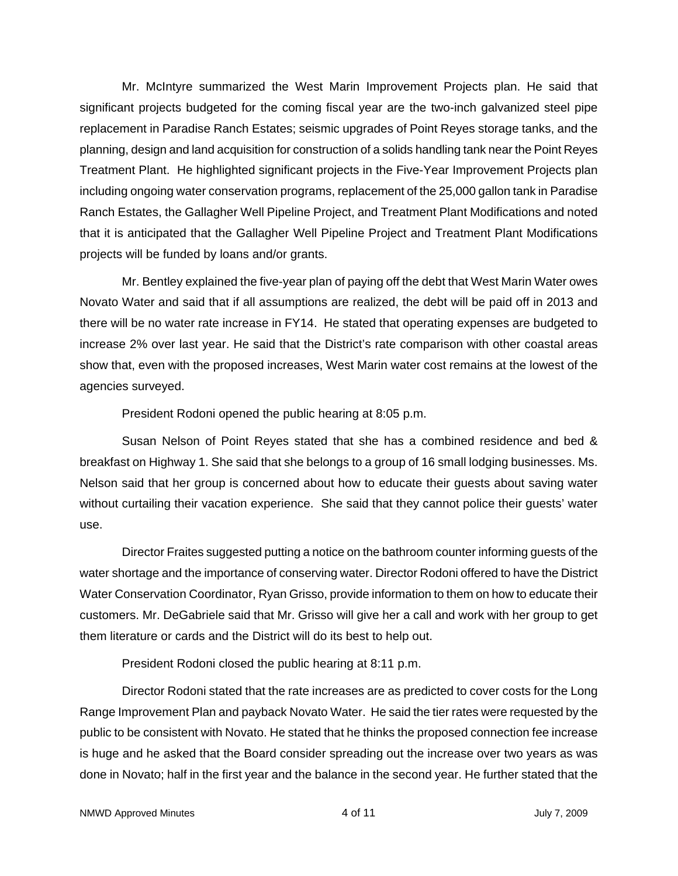Mr. McIntyre summarized the West Marin Improvement Projects plan. He said that significant projects budgeted for the coming fiscal year are the two-inch galvanized steel pipe replacement in Paradise Ranch Estates; seismic upgrades of Point Reyes storage tanks, and the planning, design and land acquisition for construction of a solids handling tank near the Point Reyes Treatment Plant. He highlighted significant projects in the Five-Year Improvement Projects plan including ongoing water conservation programs, replacement of the 25,000 gallon tank in Paradise Ranch Estates, the Gallagher Well Pipeline Project, and Treatment Plant Modifications and noted that it is anticipated that the Gallagher Well Pipeline Project and Treatment Plant Modifications projects will be funded by loans and/or grants.

Mr. Bentley explained the five-year plan of paying off the debt that West Marin Water owes Novato Water and said that if all assumptions are realized, the debt will be paid off in 2013 and there will be no water rate increase in FY14. He stated that operating expenses are budgeted to increase 2% over last year. He said that the District's rate comparison with other coastal areas show that, even with the proposed increases, West Marin water cost remains at the lowest of the agencies surveyed.

President Rodoni opened the public hearing at 8:05 p.m.

Susan Nelson of Point Reyes stated that she has a combined residence and bed & breakfast on Highway 1. She said that she belongs to a group of 16 small lodging businesses. Ms. Nelson said that her group is concerned about how to educate their guests about saving water without curtailing their vacation experience. She said that they cannot police their guests' water use.

Director Fraites suggested putting a notice on the bathroom counter informing guests of the water shortage and the importance of conserving water. Director Rodoni offered to have the District Water Conservation Coordinator, Ryan Grisso, provide information to them on how to educate their customers. Mr. DeGabriele said that Mr. Grisso will give her a call and work with her group to get them literature or cards and the District will do its best to help out.

President Rodoni closed the public hearing at 8:11 p.m.

Director Rodoni stated that the rate increases are as predicted to cover costs for the Long Range Improvement Plan and payback Novato Water. He said the tier rates were requested by the public to be consistent with Novato. He stated that he thinks the proposed connection fee increase is huge and he asked that the Board consider spreading out the increase over two years as was done in Novato; half in the first year and the balance in the second year. He further stated that the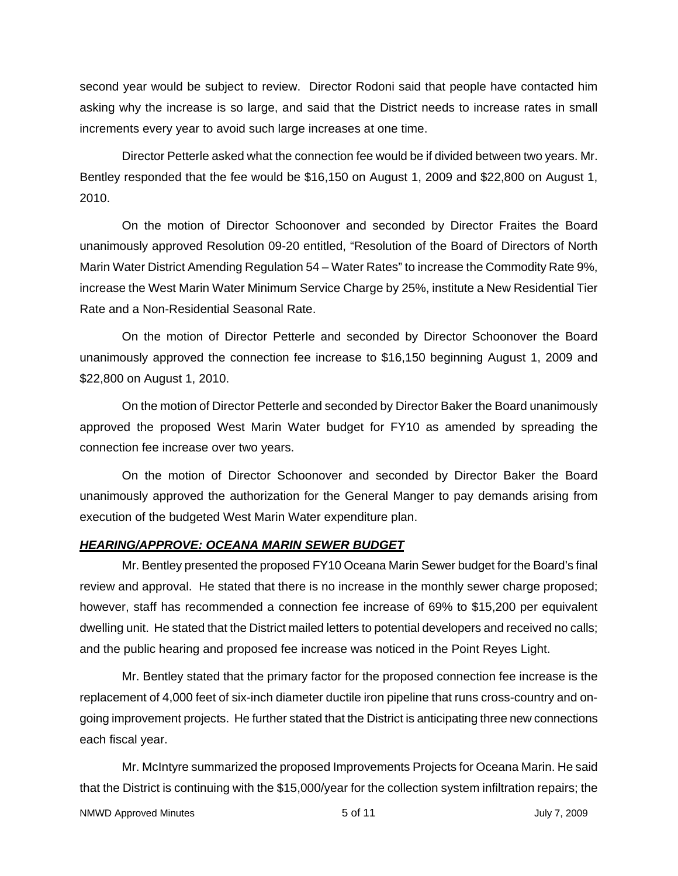second year would be subject to review. Director Rodoni said that people have contacted him asking why the increase is so large, and said that the District needs to increase rates in small increments every year to avoid such large increases at one time.

Director Petterle asked what the connection fee would be if divided between two years. Mr. Bentley responded that the fee would be \$16,150 on August 1, 2009 and \$22,800 on August 1, 2010.

On the motion of Director Schoonover and seconded by Director Fraites the Board unanimously approved Resolution 09-20 entitled, "Resolution of the Board of Directors of North Marin Water District Amending Regulation 54 – Water Rates" to increase the Commodity Rate 9%, increase the West Marin Water Minimum Service Charge by 25%, institute a New Residential Tier Rate and a Non-Residential Seasonal Rate.

On the motion of Director Petterle and seconded by Director Schoonover the Board unanimously approved the connection fee increase to \$16,150 beginning August 1, 2009 and \$22,800 on August 1, 2010.

On the motion of Director Petterle and seconded by Director Baker the Board unanimously approved the proposed West Marin Water budget for FY10 as amended by spreading the connection fee increase over two years.

On the motion of Director Schoonover and seconded by Director Baker the Board unanimously approved the authorization for the General Manger to pay demands arising from execution of the budgeted West Marin Water expenditure plan.

### *HEARING/APPROVE: OCEANA MARIN SEWER BUDGET*

Mr. Bentley presented the proposed FY10 Oceana Marin Sewer budget for the Board's final review and approval. He stated that there is no increase in the monthly sewer charge proposed; however, staff has recommended a connection fee increase of 69% to \$15,200 per equivalent dwelling unit. He stated that the District mailed letters to potential developers and received no calls; and the public hearing and proposed fee increase was noticed in the Point Reyes Light.

Mr. Bentley stated that the primary factor for the proposed connection fee increase is the replacement of 4,000 feet of six-inch diameter ductile iron pipeline that runs cross-country and ongoing improvement projects. He further stated that the District is anticipating three new connections each fiscal year.

Mr. McIntyre summarized the proposed Improvements Projects for Oceana Marin. He said that the District is continuing with the \$15,000/year for the collection system infiltration repairs; the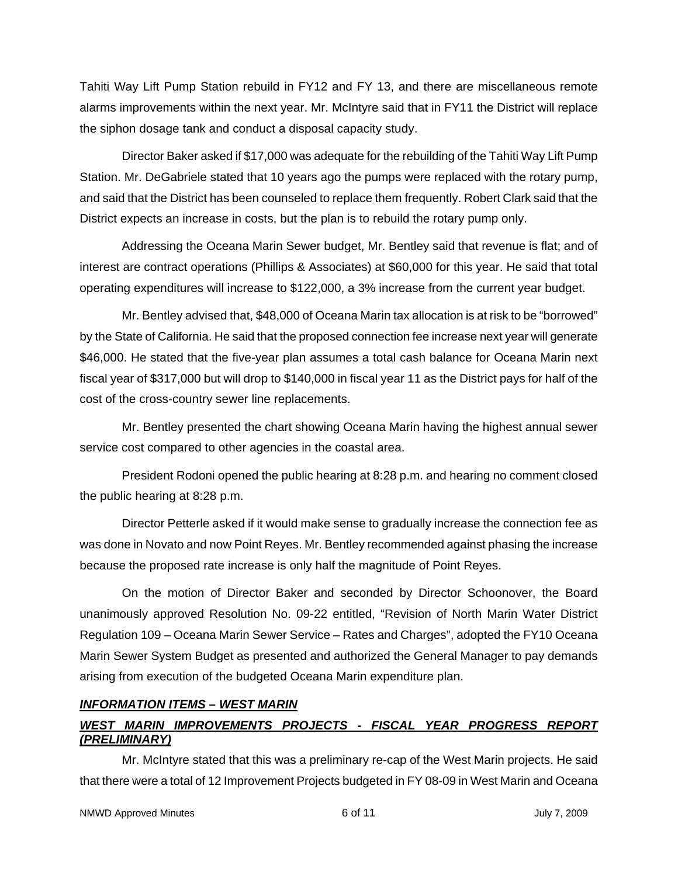Tahiti Way Lift Pump Station rebuild in FY12 and FY 13, and there are miscellaneous remote alarms improvements within the next year. Mr. McIntyre said that in FY11 the District will replace the siphon dosage tank and conduct a disposal capacity study.

Director Baker asked if \$17,000 was adequate for the rebuilding of the Tahiti Way Lift Pump Station. Mr. DeGabriele stated that 10 years ago the pumps were replaced with the rotary pump, and said that the District has been counseled to replace them frequently. Robert Clark said that the District expects an increase in costs, but the plan is to rebuild the rotary pump only.

Addressing the Oceana Marin Sewer budget, Mr. Bentley said that revenue is flat; and of interest are contract operations (Phillips & Associates) at \$60,000 for this year. He said that total operating expenditures will increase to \$122,000, a 3% increase from the current year budget.

Mr. Bentley advised that, \$48,000 of Oceana Marin tax allocation is at risk to be "borrowed" by the State of California. He said that the proposed connection fee increase next year will generate \$46,000. He stated that the five-year plan assumes a total cash balance for Oceana Marin next fiscal year of \$317,000 but will drop to \$140,000 in fiscal year 11 as the District pays for half of the cost of the cross-country sewer line replacements.

Mr. Bentley presented the chart showing Oceana Marin having the highest annual sewer service cost compared to other agencies in the coastal area.

President Rodoni opened the public hearing at 8:28 p.m. and hearing no comment closed the public hearing at 8:28 p.m.

Director Petterle asked if it would make sense to gradually increase the connection fee as was done in Novato and now Point Reyes. Mr. Bentley recommended against phasing the increase because the proposed rate increase is only half the magnitude of Point Reyes.

On the motion of Director Baker and seconded by Director Schoonover, the Board unanimously approved Resolution No. 09-22 entitled, "Revision of North Marin Water District Regulation 109 – Oceana Marin Sewer Service – Rates and Charges", adopted the FY10 Oceana Marin Sewer System Budget as presented and authorized the General Manager to pay demands arising from execution of the budgeted Oceana Marin expenditure plan.

# *INFORMATION ITEMS – WEST MARIN*

# *WEST MARIN IMPROVEMENTS PROJECTS - FISCAL YEAR PROGRESS REPORT (PRELIMINARY)*

Mr. McIntyre stated that this was a preliminary re-cap of the West Marin projects. He said that there were a total of 12 Improvement Projects budgeted in FY 08-09 in West Marin and Oceana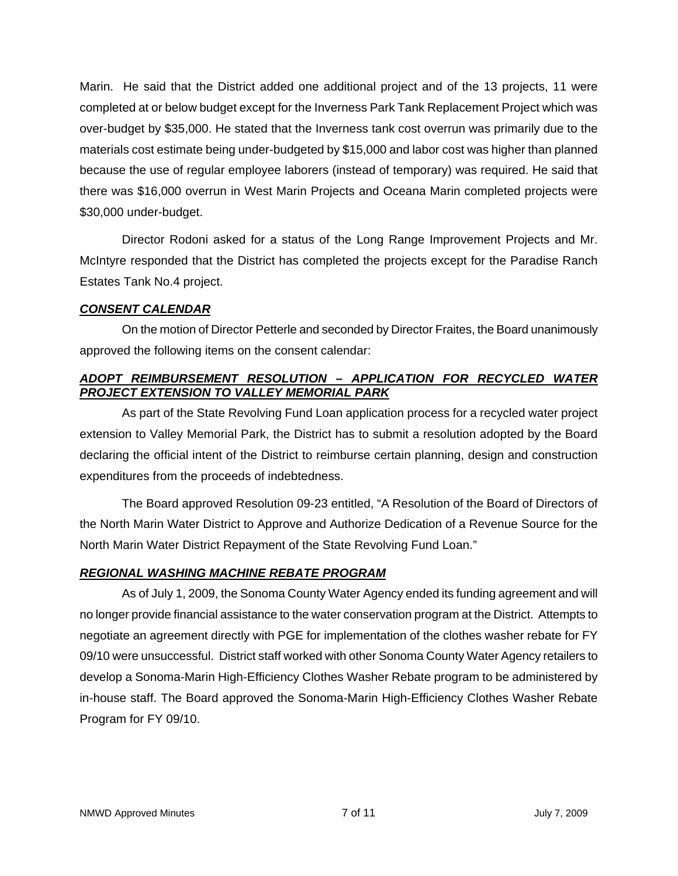Marin. He said that the District added one additional project and of the 13 projects, 11 were completed at or below budget except for the Inverness Park Tank Replacement Project which was over-budget by \$35,000. He stated that the Inverness tank cost overrun was primarily due to the materials cost estimate being under-budgeted by \$15,000 and labor cost was higher than planned because the use of regular employee laborers (instead of temporary) was required. He said that there was \$16,000 overrun in West Marin Projects and Oceana Marin completed projects were \$30,000 under-budget.

Director Rodoni asked for a status of the Long Range Improvement Projects and Mr. McIntyre responded that the District has completed the projects except for the Paradise Ranch Estates Tank No.4 project.

## *CONSENT CALENDAR*

On the motion of Director Petterle and seconded by Director Fraites, the Board unanimously approved the following items on the consent calendar:

# *ADOPT REIMBURSEMENT RESOLUTION – APPLICATION FOR RECYCLED WATER PROJECT EXTENSION TO VALLEY MEMORIAL PARK*

As part of the State Revolving Fund Loan application process for a recycled water project extension to Valley Memorial Park, the District has to submit a resolution adopted by the Board declaring the official intent of the District to reimburse certain planning, design and construction expenditures from the proceeds of indebtedness.

The Board approved Resolution 09-23 entitled, "A Resolution of the Board of Directors of the North Marin Water District to Approve and Authorize Dedication of a Revenue Source for the North Marin Water District Repayment of the State Revolving Fund Loan."

# *REGIONAL WASHING MACHINE REBATE PROGRAM*

As of July 1, 2009, the Sonoma County Water Agency ended its funding agreement and will no longer provide financial assistance to the water conservation program at the District. Attempts to negotiate an agreement directly with PGE for implementation of the clothes washer rebate for FY 09/10 were unsuccessful. District staff worked with other Sonoma County Water Agency retailers to develop a Sonoma-Marin High-Efficiency Clothes Washer Rebate program to be administered by in-house staff. The Board approved the Sonoma-Marin High-Efficiency Clothes Washer Rebate Program for FY 09/10.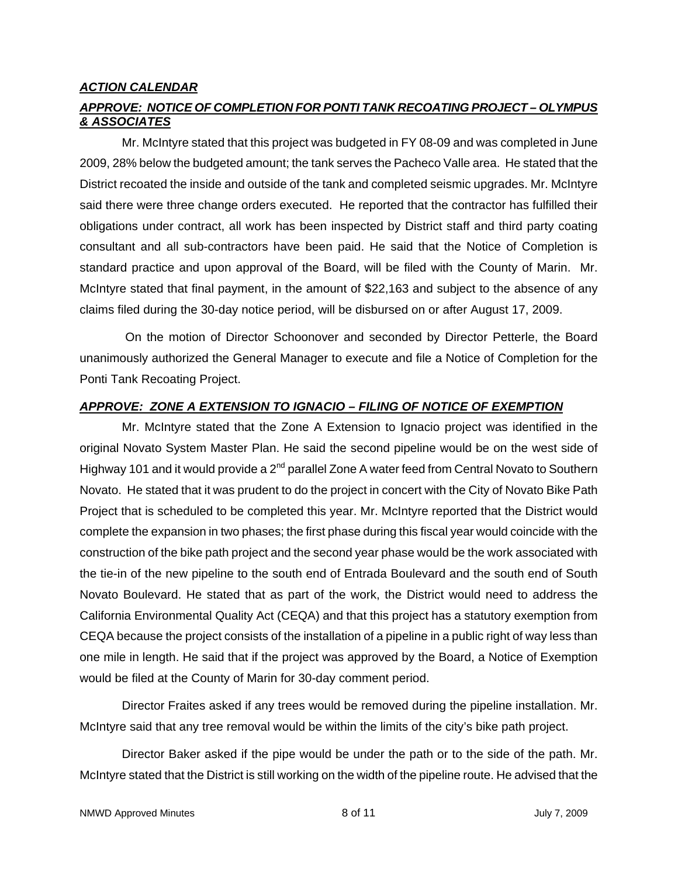### *ACTION CALENDAR*

## *APPROVE: NOTICE OF COMPLETION FOR PONTI TANK RECOATING PROJECT – OLYMPUS & ASSOCIATES*

Mr. McIntyre stated that this project was budgeted in FY 08-09 and was completed in June 2009, 28% below the budgeted amount; the tank serves the Pacheco Valle area. He stated that the District recoated the inside and outside of the tank and completed seismic upgrades. Mr. McIntyre said there were three change orders executed. He reported that the contractor has fulfilled their obligations under contract, all work has been inspected by District staff and third party coating consultant and all sub-contractors have been paid. He said that the Notice of Completion is standard practice and upon approval of the Board, will be filed with the County of Marin. Mr. McIntyre stated that final payment, in the amount of \$22,163 and subject to the absence of any claims filed during the 30-day notice period, will be disbursed on or after August 17, 2009.

 On the motion of Director Schoonover and seconded by Director Petterle, the Board unanimously authorized the General Manager to execute and file a Notice of Completion for the Ponti Tank Recoating Project.

## *APPROVE: ZONE A EXTENSION TO IGNACIO – FILING OF NOTICE OF EXEMPTION*

Mr. McIntyre stated that the Zone A Extension to Ignacio project was identified in the original Novato System Master Plan. He said the second pipeline would be on the west side of Highway 101 and it would provide a 2<sup>nd</sup> parallel Zone A water feed from Central Novato to Southern Novato. He stated that it was prudent to do the project in concert with the City of Novato Bike Path Project that is scheduled to be completed this year. Mr. McIntyre reported that the District would complete the expansion in two phases; the first phase during this fiscal year would coincide with the construction of the bike path project and the second year phase would be the work associated with the tie-in of the new pipeline to the south end of Entrada Boulevard and the south end of South Novato Boulevard. He stated that as part of the work, the District would need to address the California Environmental Quality Act (CEQA) and that this project has a statutory exemption from CEQA because the project consists of the installation of a pipeline in a public right of way less than one mile in length. He said that if the project was approved by the Board, a Notice of Exemption would be filed at the County of Marin for 30-day comment period.

Director Fraites asked if any trees would be removed during the pipeline installation. Mr. McIntyre said that any tree removal would be within the limits of the city's bike path project.

Director Baker asked if the pipe would be under the path or to the side of the path. Mr. McIntyre stated that the District is still working on the width of the pipeline route. He advised that the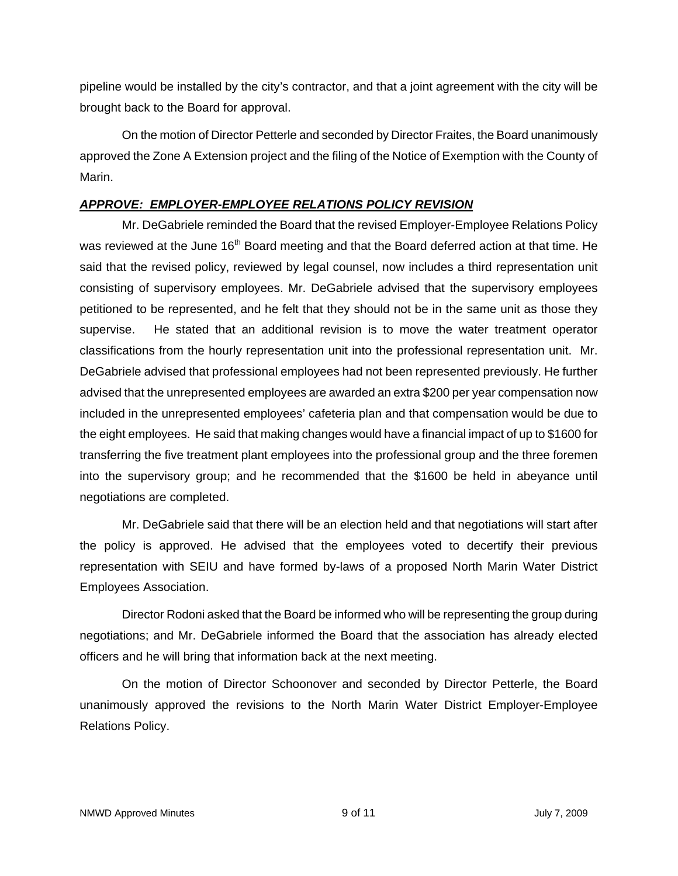pipeline would be installed by the city's contractor, and that a joint agreement with the city will be brought back to the Board for approval.

On the motion of Director Petterle and seconded by Director Fraites, the Board unanimously approved the Zone A Extension project and the filing of the Notice of Exemption with the County of Marin.

# *APPROVE: EMPLOYER-EMPLOYEE RELATIONS POLICY REVISION*

Mr. DeGabriele reminded the Board that the revised Employer-Employee Relations Policy was reviewed at the June 16<sup>th</sup> Board meeting and that the Board deferred action at that time. He said that the revised policy, reviewed by legal counsel, now includes a third representation unit consisting of supervisory employees. Mr. DeGabriele advised that the supervisory employees petitioned to be represented, and he felt that they should not be in the same unit as those they supervise. He stated that an additional revision is to move the water treatment operator classifications from the hourly representation unit into the professional representation unit. Mr. DeGabriele advised that professional employees had not been represented previously. He further advised that the unrepresented employees are awarded an extra \$200 per year compensation now included in the unrepresented employees' cafeteria plan and that compensation would be due to the eight employees. He said that making changes would have a financial impact of up to \$1600 for transferring the five treatment plant employees into the professional group and the three foremen into the supervisory group; and he recommended that the \$1600 be held in abeyance until negotiations are completed.

Mr. DeGabriele said that there will be an election held and that negotiations will start after the policy is approved. He advised that the employees voted to decertify their previous representation with SEIU and have formed by-laws of a proposed North Marin Water District Employees Association.

Director Rodoni asked that the Board be informed who will be representing the group during negotiations; and Mr. DeGabriele informed the Board that the association has already elected officers and he will bring that information back at the next meeting.

On the motion of Director Schoonover and seconded by Director Petterle, the Board unanimously approved the revisions to the North Marin Water District Employer-Employee Relations Policy.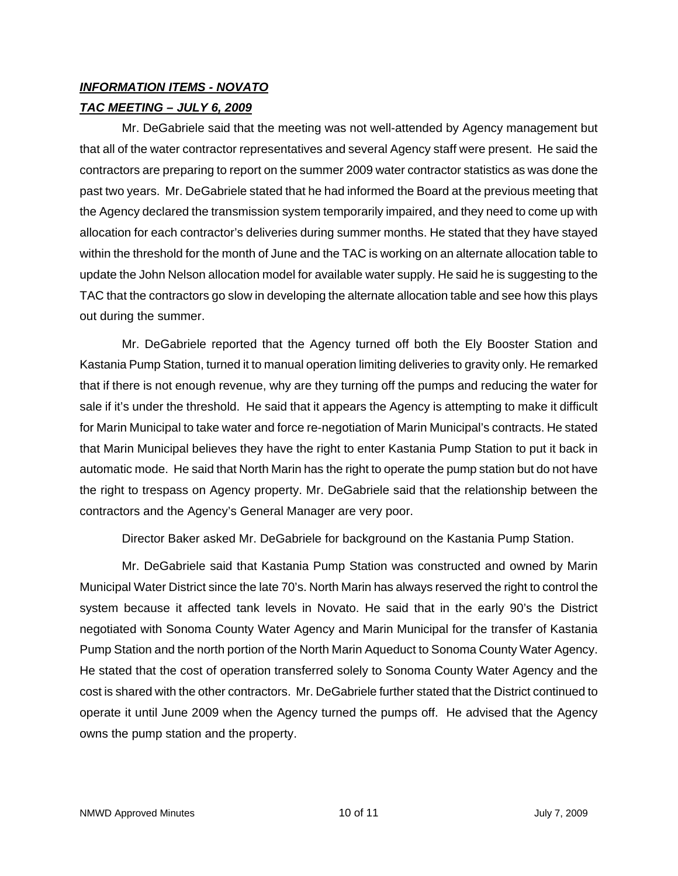# *INFORMATION ITEMS - NOVATO*

# *TAC MEETING – JULY 6, 2009*

Mr. DeGabriele said that the meeting was not well-attended by Agency management but that all of the water contractor representatives and several Agency staff were present. He said the contractors are preparing to report on the summer 2009 water contractor statistics as was done the past two years. Mr. DeGabriele stated that he had informed the Board at the previous meeting that the Agency declared the transmission system temporarily impaired, and they need to come up with allocation for each contractor's deliveries during summer months. He stated that they have stayed within the threshold for the month of June and the TAC is working on an alternate allocation table to update the John Nelson allocation model for available water supply. He said he is suggesting to the TAC that the contractors go slow in developing the alternate allocation table and see how this plays out during the summer.

Mr. DeGabriele reported that the Agency turned off both the Ely Booster Station and Kastania Pump Station, turned it to manual operation limiting deliveries to gravity only. He remarked that if there is not enough revenue, why are they turning off the pumps and reducing the water for sale if it's under the threshold. He said that it appears the Agency is attempting to make it difficult for Marin Municipal to take water and force re-negotiation of Marin Municipal's contracts. He stated that Marin Municipal believes they have the right to enter Kastania Pump Station to put it back in automatic mode. He said that North Marin has the right to operate the pump station but do not have the right to trespass on Agency property. Mr. DeGabriele said that the relationship between the contractors and the Agency's General Manager are very poor.

Director Baker asked Mr. DeGabriele for background on the Kastania Pump Station.

Mr. DeGabriele said that Kastania Pump Station was constructed and owned by Marin Municipal Water District since the late 70's. North Marin has always reserved the right to control the system because it affected tank levels in Novato. He said that in the early 90's the District negotiated with Sonoma County Water Agency and Marin Municipal for the transfer of Kastania Pump Station and the north portion of the North Marin Aqueduct to Sonoma County Water Agency. He stated that the cost of operation transferred solely to Sonoma County Water Agency and the cost is shared with the other contractors. Mr. DeGabriele further stated that the District continued to operate it until June 2009 when the Agency turned the pumps off. He advised that the Agency owns the pump station and the property.